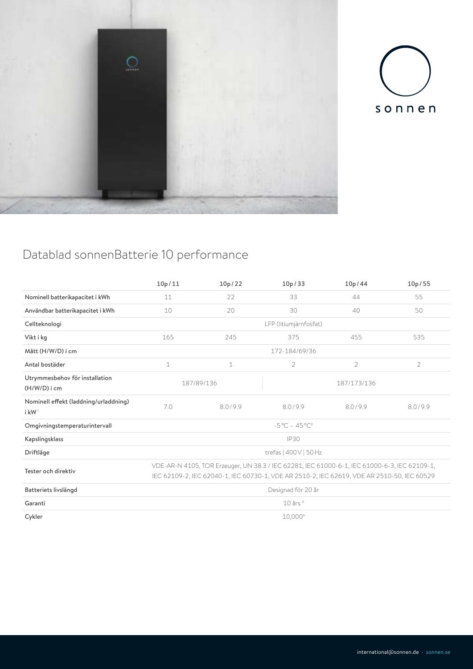



# Datablad sonnenBatterie 10 performance

|                                                            | 10p/11                                                                                                                                                                                     | 10p/22      | 10p/33             | 10p/44         | 10p/55         |  |  |  |
|------------------------------------------------------------|--------------------------------------------------------------------------------------------------------------------------------------------------------------------------------------------|-------------|--------------------|----------------|----------------|--|--|--|
| Nominell batterikapacitet i kWh                            | 11                                                                                                                                                                                         | 22          | 33                 | 44             | 55             |  |  |  |
| Användbar batterikapacitet i kWh                           | 10                                                                                                                                                                                         | 20          | 30<br>50<br>40     |                |                |  |  |  |
| Cellteknologi                                              | LFP (litiumjärnfosfat)                                                                                                                                                                     |             |                    |                |                |  |  |  |
| Vikt i kg                                                  | 165                                                                                                                                                                                        | 245         | 535<br>375<br>455  |                |                |  |  |  |
| Mått (H/W/D) i cm                                          | 172-184/69/36                                                                                                                                                                              |             |                    |                |                |  |  |  |
| Antal bostäder                                             | $\mathbf 1$                                                                                                                                                                                | $\mathbf 1$ | $\overline{2}$     | $\overline{2}$ | $\overline{2}$ |  |  |  |
| Utrymmesbehov för installation<br>$(H/W/D)$ i cm           |                                                                                                                                                                                            | 187/89/136  | 187/173/136        |                |                |  |  |  |
| Nominell effekt (laddning/urladdning)<br>i kW <sup>1</sup> | 7.0                                                                                                                                                                                        | 8.0/9.9     | 8.0/9.9<br>8.0/9.9 |                | 8.0/9.9        |  |  |  |
| Omgivningstemperaturintervall                              | $-5^{\circ}$ C - 45°C <sup>2</sup>                                                                                                                                                         |             |                    |                |                |  |  |  |
| Kapslingsklass                                             | <b>IP30</b>                                                                                                                                                                                |             |                    |                |                |  |  |  |
| Driftläge                                                  | trefas   400 V   50 Hz                                                                                                                                                                     |             |                    |                |                |  |  |  |
| Tester och direktiv                                        | VDE-AR-N 4105, TOR Erzeuger, UN 38.3 / IEC 62281, IEC 61000-6-1, IEC 61000-6-3, IEC 62109-1,<br>IEC 62109-2, IEC 62040-1, IEC 60730-1, VDE AR 2510-2, IEC 62619, VDE AR 2510-50, IEC 60529 |             |                    |                |                |  |  |  |
| Batteriets livslängd                                       | Designad för 20 år                                                                                                                                                                         |             |                    |                |                |  |  |  |
| Garanti                                                    | $10$ års $3$                                                                                                                                                                               |             |                    |                |                |  |  |  |
| Cykler                                                     | $10,000^3$                                                                                                                                                                                 |             |                    |                |                |  |  |  |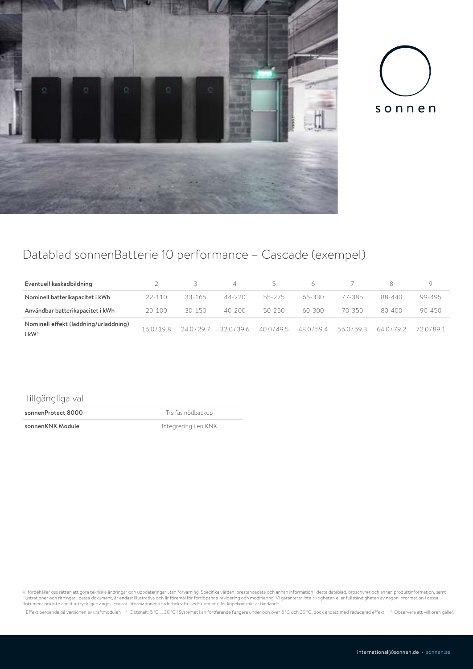



## Datablad sonnenBatterie 10 performance – Cascade (exempel)

| Eventuell kaskadbildning                          |            | $\mathcal{R}$ |            | $\sim$    | 6.        |         | 8         |         |
|---------------------------------------------------|------------|---------------|------------|-----------|-----------|---------|-----------|---------|
| Nominell batterikapacitet i kWh                   | $22 - 110$ | 33-165        | 44-220     | 55-275    | 66-330    | 77-385  | 88-440    | 99-495  |
| Användbar batterikapacitet i kWh                  | $20 - 100$ | $30 - 150$    | $40 - 200$ | 50-250    | 60-300    | 70-350  | 80-400    | 90-450  |
| Nominell effekt (laddning/urladdning)<br>i k $W1$ | 160/198    | 240/297       | 3201396    | 40.0/49.5 | 48.0/59.4 | 560/693 | 64.0/79.2 | 720/891 |

### Tillgängliga val

sonnenProtect 8000 and the Tre fas nödbackup

sonnenKNX Module and a litegrering i en KNX

Vi förbehåller oss rätten att göra tekniska ändringar och uppdateringar utan förvarning. Specifika värden, prestandadata och annan information i detta datablad, broschyrer och annan produktinformation, samt<br>illustrationer

<sup>1</sup> Effekt beroende på versionen av kraftmodulen <sup>2</sup> Optimalt: 5°C ... 30°C | Systemet kan fortfarande fungera under och över 5°C och 30°C, dock endast med reducerad effekt. <sup>3</sup> Observera att villkoren gäller.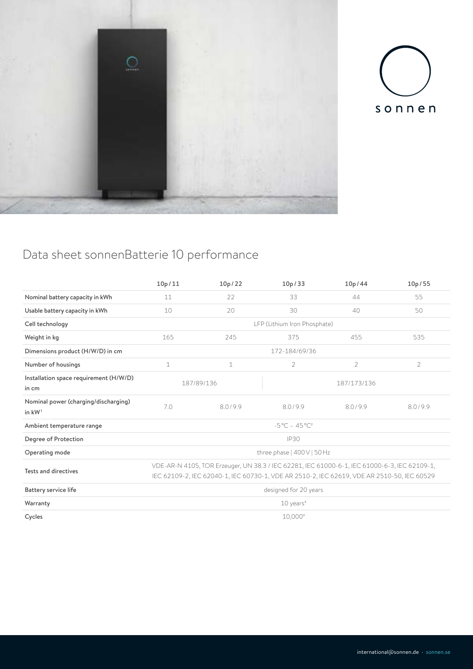



## Data sheet sonnenBatterie 10 performance

|                                                  | 10p/11                                                                                                                                                                                     | 10p/22      | 10p/33             | 10p/44         | 10p/55         |  |  |  |
|--------------------------------------------------|--------------------------------------------------------------------------------------------------------------------------------------------------------------------------------------------|-------------|--------------------|----------------|----------------|--|--|--|
| Nominal battery capacity in kWh                  | 11                                                                                                                                                                                         | 22          | 33                 | 44             | 55             |  |  |  |
| Usable battery capacity in kWh                   | 10                                                                                                                                                                                         | 20          | 30                 | 50             |                |  |  |  |
| Cell technology                                  | LFP (Lithium Iron Phosphate)                                                                                                                                                               |             |                    |                |                |  |  |  |
| Weight in kg                                     | 165                                                                                                                                                                                        | 245         | 375<br>455<br>535  |                |                |  |  |  |
| Dimensions product (H/W/D) in cm                 | 172-184/69/36                                                                                                                                                                              |             |                    |                |                |  |  |  |
| Number of housings                               | $\mathbf{1}$                                                                                                                                                                               | $\mathbf 1$ | $\mathcal{P}$      | $\overline{2}$ | $\overline{2}$ |  |  |  |
| Installation space requirement (H/W/D)<br>in cm  |                                                                                                                                                                                            | 187/89/136  | 187/173/136        |                |                |  |  |  |
| Nominal power (charging/discharging)<br>in $kW1$ | 7.0                                                                                                                                                                                        | 8.0/9.9     | 8.0/9.9<br>8.0/9.9 |                | 8.0/9.9        |  |  |  |
| Ambient temperature range                        | $-5^{\circ}$ C - 45 $^{\circ}$ C <sup>2</sup>                                                                                                                                              |             |                    |                |                |  |  |  |
| Degree of Protection                             | <b>IP30</b>                                                                                                                                                                                |             |                    |                |                |  |  |  |
| Operating mode                                   | three phase   400V   50 Hz                                                                                                                                                                 |             |                    |                |                |  |  |  |
| <b>Tests and directives</b>                      | VDE-AR-N 4105, TOR Erzeuger, UN 38.3 / IEC 62281, IEC 61000-6-1, IEC 61000-6-3, IEC 62109-1,<br>IEC 62109-2, IEC 62040-1, IEC 60730-1, VDE AR 2510-2, IEC 62619, VDE AR 2510-50, IEC 60529 |             |                    |                |                |  |  |  |
| Battery service life                             | designed for 20 years                                                                                                                                                                      |             |                    |                |                |  |  |  |
| Warranty                                         | $10$ years <sup>3</sup>                                                                                                                                                                    |             |                    |                |                |  |  |  |
| Cycles                                           | $10,000^3$                                                                                                                                                                                 |             |                    |                |                |  |  |  |